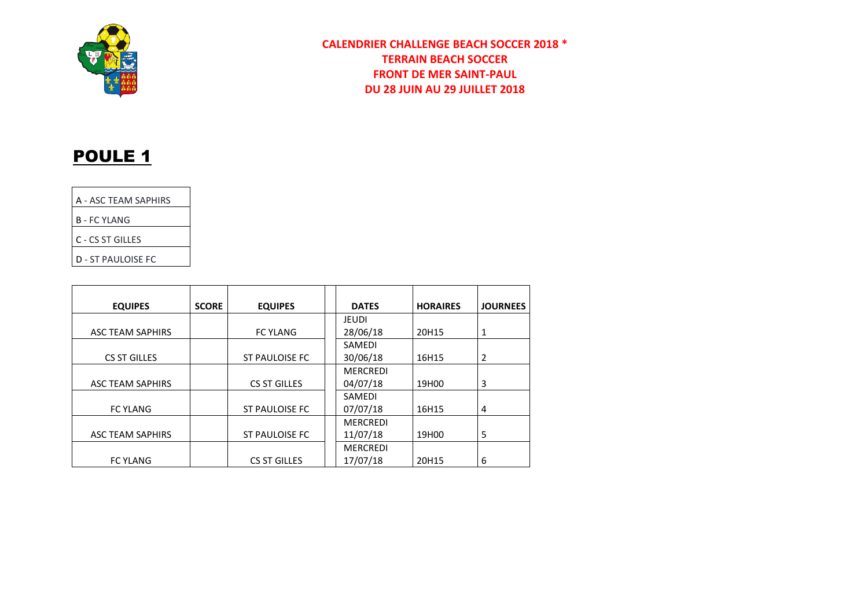

### **CALENDRIER CHALLENGE BEACH SOCCER 2018 \* TERRAIN BEACH SOCCER FRONT DE MER SAINT-PAUL DU 28 JUIN AU 29 JUILLET 2018**

## POULE<sub>1</sub>

|  | A - ASC TEAM SAPHIRS |
|--|----------------------|

B - FC YLANG

C - CS ST GILLES

D - ST PAULOISE FC

| <b>EQUIPES</b>          | <b>SCORE</b> | <b>EQUIPES</b>        | <b>DATES</b>    | <b>HORAIRES</b> | <b>JOURNEES</b> |
|-------------------------|--------------|-----------------------|-----------------|-----------------|-----------------|
|                         |              |                       | <b>JEUDI</b>    |                 |                 |
| ASC TEAM SAPHIRS        |              | <b>FC YLANG</b>       | 28/06/18        | 20H15           |                 |
|                         |              |                       | SAMEDI          |                 |                 |
| CS ST GILLES            |              | <b>ST PAULOISE FC</b> | 30/06/18        | 16H15           | 2               |
|                         |              |                       | <b>MERCREDI</b> |                 |                 |
| <b>ASC TEAM SAPHIRS</b> |              | <b>CS ST GILLES</b>   | 04/07/18        | 19H00           | 3               |
|                         |              |                       | SAMEDI          |                 |                 |
| <b>FC YLANG</b>         |              | <b>ST PAULOISE FC</b> | 07/07/18        | 16H15           | 4               |
|                         |              |                       | <b>MERCREDI</b> |                 |                 |
| <b>ASC TEAM SAPHIRS</b> |              | <b>ST PAULOISE FC</b> | 11/07/18        | 19H00           | 5               |
|                         |              |                       | <b>MERCREDI</b> |                 |                 |
| <b>FC YLANG</b>         |              | <b>CS ST GILLES</b>   | 17/07/18        | 20H15           | 6               |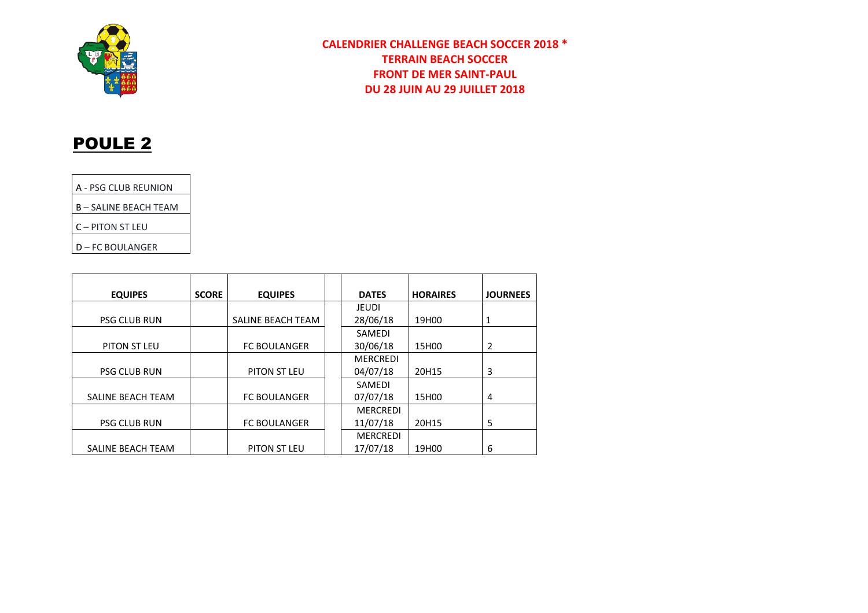

### **CALENDRIER CHALLENGE BEACH SOCCER 2018 \* TERRAIN BEACH SOCCER FRONT DE MER SAINT-PAUL DU 28 JUIN AU 29 JUILLET 2018**

# POULE 2

A - PSG CLUB REUNION

B – SALINE BEACH TEAM

C – PITON ST LEU

D – FC BOULANGER

| <b>EQUIPES</b>      | <b>SCORE</b> | <b>EQUIPES</b>      | <b>DATES</b>    | <b>HORAIRES</b> | <b>JOURNEES</b> |
|---------------------|--------------|---------------------|-----------------|-----------------|-----------------|
|                     |              |                     | <b>JEUDI</b>    |                 |                 |
| <b>PSG CLUB RUN</b> |              | SALINE BEACH TEAM   | 28/06/18        | 19H00           | 1               |
|                     |              |                     | <b>SAMEDI</b>   |                 |                 |
| PITON ST LEU        |              | <b>FC BOULANGER</b> | 30/06/18        | 15H00           | 2               |
|                     |              |                     | <b>MERCREDI</b> |                 |                 |
| <b>PSG CLUB RUN</b> |              | PITON ST LEU        | 04/07/18        | 20H15           | 3               |
|                     |              |                     | <b>SAMEDI</b>   |                 |                 |
| SALINE BEACH TEAM   |              | <b>FC BOULANGER</b> | 07/07/18        | 15H00           | 4               |
|                     |              |                     | <b>MERCREDI</b> |                 |                 |
| <b>PSG CLUB RUN</b> |              | <b>FC BOULANGER</b> | 11/07/18        | 20H15           | 5               |
|                     |              |                     | <b>MERCREDI</b> |                 |                 |
| SALINE BEACH TEAM   |              | PITON ST LEU        | 17/07/18        | 19H00           | 6               |